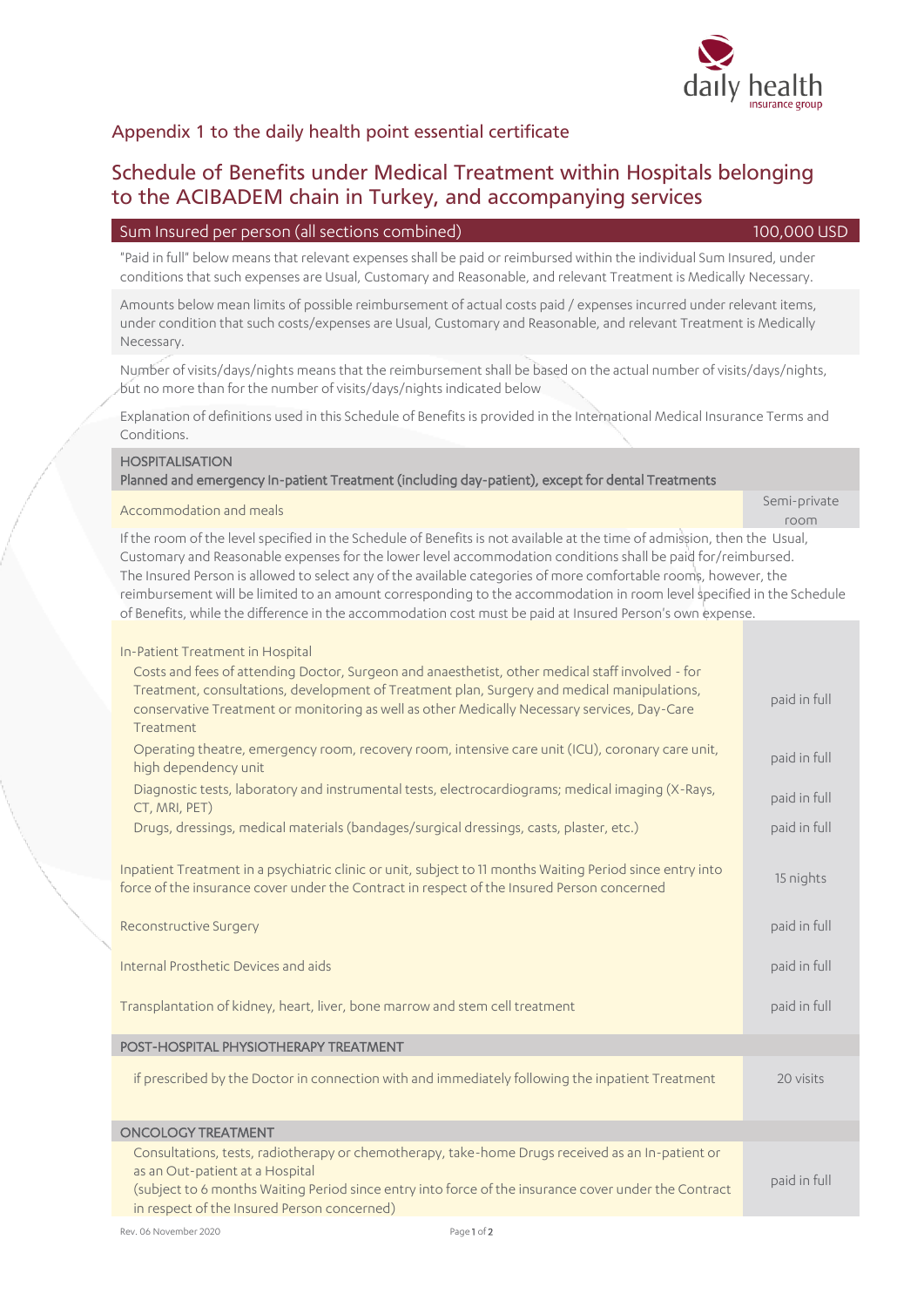

Number of visits/days/nights means that the reimbursement shall be based on the actual number of visits/days/nights, but no more than for the number of visits/days/nights indicated below

Explanation of definitions used in this Schedule of Benefits is provided in the International Medical Insurance Terms and Conditions.

## **HOSPITALISATION**

Necessary.

## Planned and emergency In-patient Treatment (including day-patient), except for dental Treatments

## Accommodation and meals Semi-private Semi-private Semi-private

If the room of the level specified in the Schedule of Benefits is not available at the time of admission, then the Usual, Customary and Reasonable expenses for the lower level accommodation conditions shall be paid for/reimbursed. The Insured Person is allowed to select any of the available categories of more comfortable rooms, however, the reimbursement will be limited to an amount corresponding to the accommodation in room level specified in the Schedule of Benefits, while the difference in the accommodation cost must be paid at Insured Person's own expense.

| In-Patient Treatment in Hospital<br>Costs and fees of attending Doctor, Surgeon and anaesthetist, other medical staff involved - for                                                                                                                                                       |              |
|--------------------------------------------------------------------------------------------------------------------------------------------------------------------------------------------------------------------------------------------------------------------------------------------|--------------|
| Treatment, consultations, development of Treatment plan, Surgery and medical manipulations,<br>conservative Treatment or monitoring as well as other Medically Necessary services, Day-Care<br>Treatment                                                                                   | paid in full |
| Operating theatre, emergency room, recovery room, intensive care unit (ICU), coronary care unit,<br>high dependency unit                                                                                                                                                                   | paid in full |
| Diagnostic tests, laboratory and instrumental tests, electrocardiograms; medical imaging (X-Rays,<br>CT, MRI, PET)                                                                                                                                                                         | paid in full |
| Drugs, dressings, medical materials (bandages/surgical dressings, casts, plaster, etc.)                                                                                                                                                                                                    | paid in full |
| Inpatient Treatment in a psychiatric clinic or unit, subject to 11 months Waiting Period since entry into<br>force of the insurance cover under the Contract in respect of the Insured Person concerned                                                                                    | 15 nights    |
| <b>Reconstructive Surgery</b>                                                                                                                                                                                                                                                              | paid in full |
| Internal Prosthetic Devices and aids                                                                                                                                                                                                                                                       | paid in full |
| Transplantation of kidney, heart, liver, bone marrow and stem cell treatment                                                                                                                                                                                                               | paid in full |
| POST-HOSPITAL PHYSIOTHERAPY TREATMENT                                                                                                                                                                                                                                                      |              |
| if prescribed by the Doctor in connection with and immediately following the inpatient Treatment                                                                                                                                                                                           | 20 visits    |
| <b>ONCOLOGY TREATMENT</b>                                                                                                                                                                                                                                                                  |              |
| Consultations, tests, radiotherapy or chemotherapy, take-home Drugs received as an In-patient or<br>as an Out-patient at a Hospital<br>(subject to 6 months Waiting Period since entry into force of the insurance cover under the Contract<br>in respect of the Insured Person concerned) | paid in full |
|                                                                                                                                                                                                                                                                                            |              |

to the ACIBADEM chain in Turkey, and accompanying services

"Paid in full" below means that relevant expenses shall be paid or reimbursed within the individual Sum Insured, under conditions that such expenses are Usual, Customary and Reasonable, and relevant Treatment is Medically Necessary.

Amounts below mean limits of possible reimbursement of actual costs paid / expenses incurred under relevant items, under condition that such costs/expenses are Usual, Customary and Reasonable, and relevant Treatment is Medically

Sum Insured per person (all sections combined) 100,000 USD

Schedule of Benefits under Medical Treatment within Hospitals belonging

Appendix 1 to the daily health point essential certificate

room